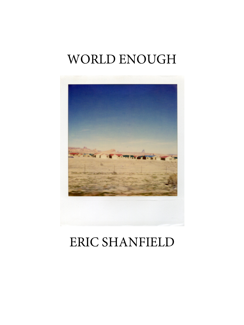

## ERIC SHANFIELD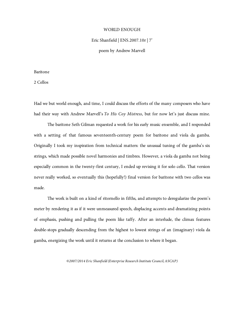## Eric Shanfield | ENS.2007.10r | 7' poem by Andrew Marvell

### Baritone

2 Cellos

Had we but world enough, and time, I could discuss the efforts of the many composers who have had their way with Andrew Marvell's *To His Coy Mistress*, but for now let's just discuss mine.

The baritone Seth Gilman requested a work for his early music ensemble, and I responded with a setting of that famous seventeenth-century poem for baritone and viola da gamba. Originally I took my inspiration from technical matters: the unusual tuning of the gamba's six strings, which made possible novel harmonies and timbres. However, a viola da gamba not being especially common in the twenty-first century, I ended up revising it for solo cello. That version never really worked, so eventually this (hopefully!) final version for baritone with two cellos was made.

The work is built on a kind of ritornello in fifths, and attempts to deregularize the poem's meter by rendering it as if it were unmeasured speech, displacing accents and dramatizing points of emphasis, pushing and pulling the poem like taffy. After an interlude, the climax features double-stops gradually descending from the highest to lowest strings of an (imaginary) viola da gamba, energizing the work until it returns at the conclusion to where it began.

*©2007/2014 Eric Shanfield (Enterprise Research Institute Council, ASCAP)*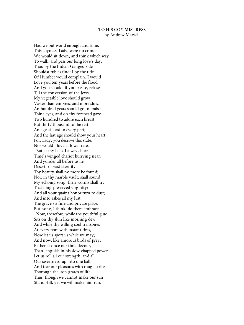### **TO HIS COY MISTRESS** by Andrew Marvell

Had we but world enough and time, This coyness, Lady, were no crime. We would sit down, and think which way To walk, and pass our long love's day. Thou by the Indian Ganges' side Shouldst rubies find: I by the tide Of Humber would complain. I would Love you ten years before the flood: And you should, if you please, refuse Till the conversion of the Jews. My vegetable love should grow Vaster than empires, and more slow. An hundred years should go to praise Thine eyes, and on thy forehead gaze. Two hundred to adore each breast: But thirty thousand to the rest. An age at least to every part, And the last age should show your heart: For, Lady, you deserve this state; Nor would I love at lower rate.

 But at my back I always hear Time's wingèd chariot hurrying near: And yonder all before us lie Deserts of vast eternity. Thy beauty shall no more be found; Nor, in thy marble vault, shall sound My echoing song: then worms shall try That long-preserved virginity: And all your quaint honor turn to dust; And into ashes all my lust. The grave's a fine and private place, But none, I think, do there embrace.

 Now, therefore, while the youthful glue Sits on thy skin like morning dew, And while thy willing soul transpires At every pore with instant fires, Now let us sport us while we may; And now, like amorous birds of prey, Rather at once our time devour, Than languish in his slow-chapped power. Let us roll all our strength, and all Our sweetness, up into one ball: And tear our pleasures with rough strife, Thorough the iron grates of life. Thus, though we cannot make our sun Stand still, yet we will make him run.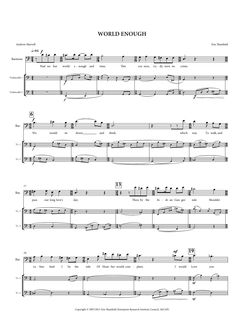

Copyright © 2007/2011 Eric Shanfield (Enterprise Research Institute Council, ASCAP)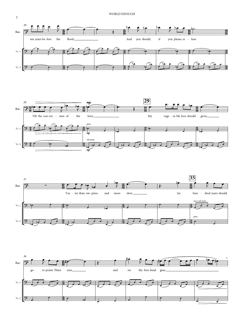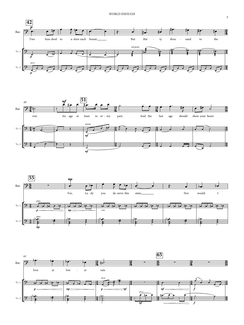





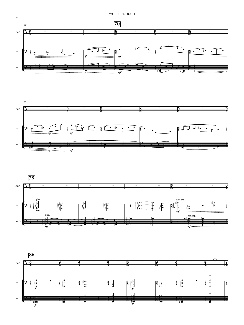





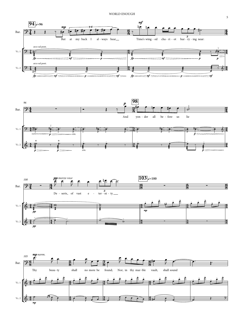



sim.

p



 $\sqrt{5}$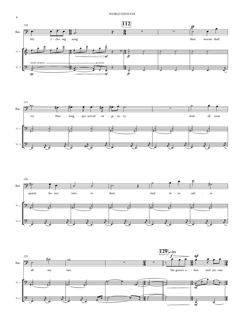



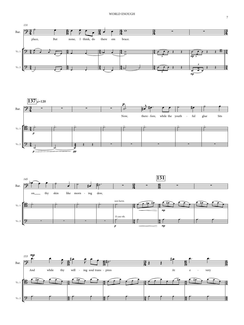





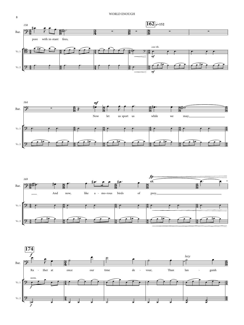





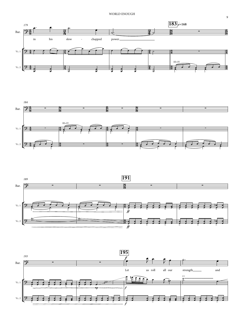





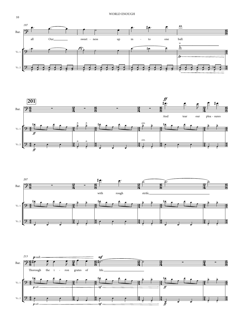